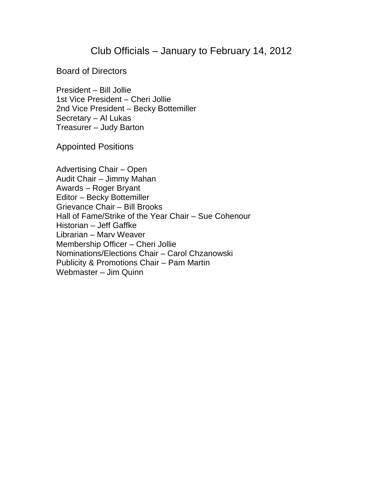### Club Officials – January to February 14, 2012

Board of Directors

President – Bill Jollie 1st Vice President – Cheri Jollie 2nd Vice President – Becky Bottemiller Secretary – Al Lukas Treasurer – Judy Barton

Appointed Positions

Advertising Chair – Open Audit Chair – Jimmy Mahan Awards – Roger Bryant Editor – Becky Bottemiller Grievance Chair – Bill Brooks Hall of Fame/Strike of the Year Chair – Sue Cohenour Historian – Jeff Gaffke Librarian – Marv Weaver Membership Officer – Cheri Jollie Nominations/Elections Chair – Carol Chzanowski Publicity & Promotions Chair – Pam Martin Webmaster – Jim Quinn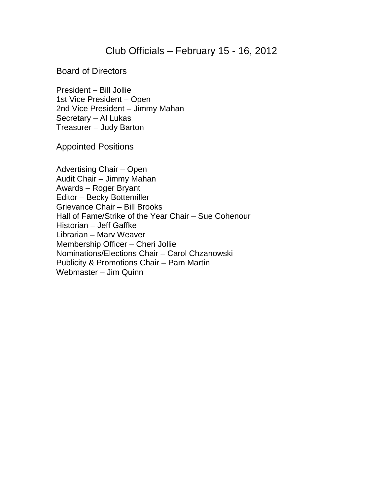# Club Officials – February 15 - 16, 2012

Board of Directors

President – Bill Jollie 1st Vice President – Open 2nd Vice President – Jimmy Mahan Secretary – Al Lukas Treasurer – Judy Barton

Appointed Positions

Advertising Chair – Open Audit Chair – Jimmy Mahan Awards – Roger Bryant Editor – Becky Bottemiller Grievance Chair – Bill Brooks Hall of Fame/Strike of the Year Chair – Sue Cohenour Historian – Jeff Gaffke Librarian – Marv Weaver Membership Officer – Cheri Jollie Nominations/Elections Chair – Carol Chzanowski Publicity & Promotions Chair – Pam Martin Webmaster – Jim Quinn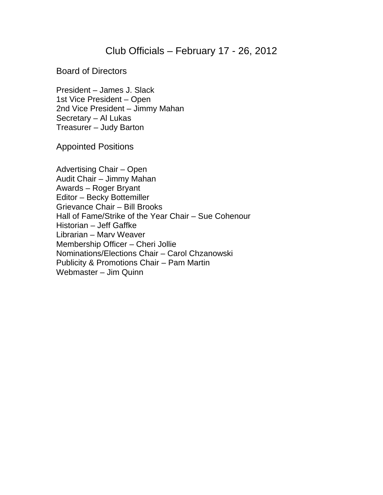### Club Officials – February 17 - 26, 2012

Board of Directors

President – James J. Slack 1st Vice President – Open 2nd Vice President – Jimmy Mahan Secretary – Al Lukas Treasurer – Judy Barton

Appointed Positions

Advertising Chair – Open Audit Chair – Jimmy Mahan Awards – Roger Bryant Editor – Becky Bottemiller Grievance Chair – Bill Brooks Hall of Fame/Strike of the Year Chair – Sue Cohenour Historian – Jeff Gaffke Librarian – Marv Weaver Membership Officer – Cheri Jollie Nominations/Elections Chair – Carol Chzanowski Publicity & Promotions Chair – Pam Martin Webmaster – Jim Quinn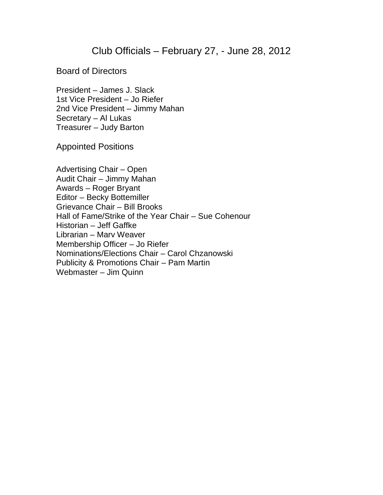# Club Officials – February 27, - June 28, 2012

Board of Directors

President – James J. Slack 1st Vice President – Jo Riefer 2nd Vice President – Jimmy Mahan Secretary – Al Lukas Treasurer – Judy Barton

Appointed Positions

Advertising Chair – Open Audit Chair – Jimmy Mahan Awards – Roger Bryant Editor – Becky Bottemiller Grievance Chair – Bill Brooks Hall of Fame/Strike of the Year Chair – Sue Cohenour Historian – Jeff Gaffke Librarian – Marv Weaver Membership Officer – Jo Riefer Nominations/Elections Chair – Carol Chzanowski Publicity & Promotions Chair – Pam Martin Webmaster – Jim Quinn